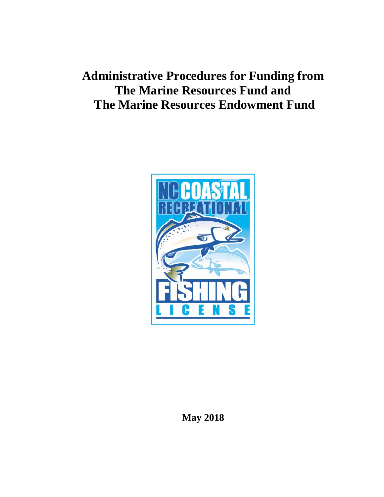# **Administrative Procedures for Funding from The Marine Resources Fund and The Marine Resources Endowment Fund**



**May 2018**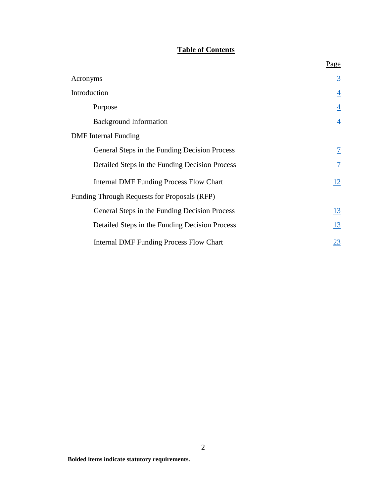# **Table of Contents**

|                                                | Page                     |
|------------------------------------------------|--------------------------|
| Acronyms                                       | $\overline{3}$           |
| Introduction                                   | $\overline{4}$           |
| Purpose                                        | $\overline{4}$           |
| <b>Background Information</b>                  | $\overline{4}$           |
| <b>DMF</b> Internal Funding                    |                          |
| General Steps in the Funding Decision Process  | $\overline{\mathcal{I}}$ |
| Detailed Steps in the Funding Decision Process | $\overline{1}$           |
| <b>Internal DMF Funding Process Flow Chart</b> | 12                       |
| Funding Through Requests for Proposals (RFP)   |                          |
| General Steps in the Funding Decision Process  | <u>13</u>                |
| Detailed Steps in the Funding Decision Process | <u>13</u>                |
| <b>Internal DMF Funding Process Flow Chart</b> | 23                       |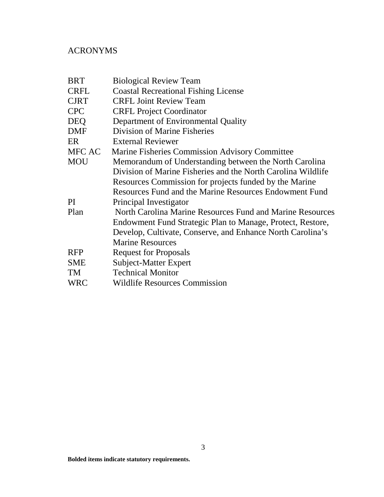# <span id="page-2-0"></span>ACRONYMS

| <b>Biological Review Team</b>                                |
|--------------------------------------------------------------|
| <b>Coastal Recreational Fishing License</b>                  |
| <b>CRFL Joint Review Team</b>                                |
| <b>CRFL Project Coordinator</b>                              |
| Department of Environmental Quality                          |
| Division of Marine Fisheries                                 |
| <b>External Reviewer</b>                                     |
| Marine Fisheries Commission Advisory Committee               |
| Memorandum of Understanding between the North Carolina       |
| Division of Marine Fisheries and the North Carolina Wildlife |
| Resources Commission for projects funded by the Marine       |
| Resources Fund and the Marine Resources Endowment Fund       |
| Principal Investigator                                       |
| North Carolina Marine Resources Fund and Marine Resources    |
| Endowment Fund Strategic Plan to Manage, Protect, Restore,   |
| Develop, Cultivate, Conserve, and Enhance North Carolina's   |
| <b>Marine Resources</b>                                      |
| <b>Request for Proposals</b>                                 |
| Subject-Matter Expert                                        |
| <b>Technical Monitor</b>                                     |
| <b>Wildlife Resources Commission</b>                         |
|                                                              |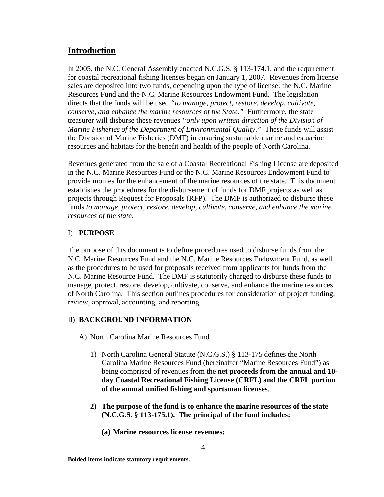# <span id="page-3-0"></span>**Introduction**

In 2005, the N.C. General Assembly enacted N.C.G.S. § 113-174.1, and the requirement for coastal recreational fishing licenses began on January 1, 2007. Revenues from license sales are deposited into two funds, depending upon the type of license: the N.C. Marine Resources Fund and the N.C. Marine Resources Endowment Fund. The legislation directs that the funds will be used *"to manage, protect, restore, develop, cultivate, conserve, and enhance the marine resources of the State."* Furthermore, the state treasurer will disburse these revenues *"only upon written direction of the Division of Marine Fisheries of the Department of Environmental Quality*.*"* These funds will assist the Division of Marine Fisheries (DMF) in ensuring sustainable marine and estuarine resources and habitats for the benefit and health of the people of North Carolina.

Revenues generated from the sale of a Coastal Recreational Fishing License are deposited in the N.C. Marine Resources Fund or the N.C. Marine Resources Endowment Fund to provide monies for the enhancement of the marine resources of the state. This document establishes the procedures for the disbursement of funds for DMF projects as well as projects through Request for Proposals (RFP). The DMF is authorized to disburse these funds *to manage, protect, restore, develop, cultivate, conserve, and enhance the marine resources of the state.*

# <span id="page-3-1"></span>I) **PURPOSE**

The purpose of this document is to define procedures used to disburse funds from the N.C. Marine Resources Fund and the N.C. Marine Resources Endowment Fund, as well as the procedures to be used for proposals received from applicants for funds from the N.C. Marine Resource Fund. The DMF is statutorily charged to disburse these funds to manage, protect, restore, develop, cultivate, conserve, and enhance the marine resources of North Carolina. This section outlines procedures for consideration of project funding, review, approval, accounting, and reporting.

# <span id="page-3-2"></span>II) **BACKGROUND INFORMATION**

- A) North Carolina Marine Resources Fund
	- 1) North Carolina General Statute (N.C.G.S.) § 113-175 defines the North Carolina Marine Resources Fund (hereinafter "Marine Resources Fund") as being comprised of revenues from the **net proceeds from the annual and 10 day Coastal Recreational Fishing License (CRFL) and the CRFL portion of the annual unified fishing and sportsman licenses**.
	- **2) The purpose of the fund is to enhance the marine resources of the state (N.C.G.S. § 113-175.1). The principal of the fund includes:**
		- **(a) Marine resources license revenues;**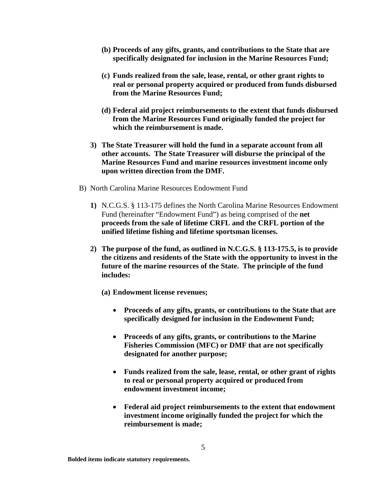- **(b) Proceeds of any gifts, grants, and contributions to the State that are specifically designated for inclusion in the Marine Resources Fund;**
- **(c) Funds realized from the sale, lease, rental, or other grant rights to real or personal property acquired or produced from funds disbursed from the Marine Resources Fund;**
- **(d) Federal aid project reimbursements to the extent that funds disbursed from the Marine Resources Fund originally funded the project for which the reimbursement is made.**
- **3) The State Treasurer will hold the fund in a separate account from all other accounts. The State Treasurer will disburse the principal of the Marine Resources Fund and marine resources investment income only upon written direction from the DMF.**
- B) North Carolina Marine Resources Endowment Fund
	- **1)** N.C.G.S. § 113-175 defines the North Carolina Marine Resources Endowment Fund (hereinafter "Endowment Fund") as being comprised of the **net proceeds from the sale of lifetime CRFL and the CRFL portion of the unified lifetime fishing and lifetime sportsman licenses.**
	- **2) The purpose of the fund, as outlined in N.C.G.S. § 113-175.5, is to provide the citizens and residents of the State with the opportunity to invest in the future of the marine resources of the State. The principle of the fund includes:**
		- **(a) Endowment license revenues;**
			- **Proceeds of any gifts, grants, or contributions to the State that are specifically designed for inclusion in the Endowment Fund;**
			- **Proceeds of any gifts, grants, or contributions to the Marine Fisheries Commission (MFC) or DMF that are not specifically designated for another purpose;**
			- **Funds realized from the sale, lease, rental, or other grant of rights to real or personal property acquired or produced from endowment investment income;**
			- **Federal aid project reimbursements to the extent that endowment investment income originally funded the project for which the reimbursement is made;**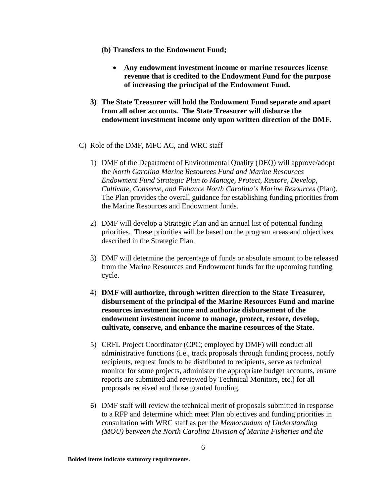- **(b) Transfers to the Endowment Fund;**
	- **Any endowment investment income or marine resources license revenue that is credited to the Endowment Fund for the purpose of increasing the principal of the Endowment Fund.**
- **3) The State Treasurer will hold the Endowment Fund separate and apart from all other accounts. The State Treasurer will disburse the endowment investment income only upon written direction of the DMF.**
- C) Role of the DMF, MFC AC, and WRC staff
	- 1) DMF of the Department of Environmental Quality (DEQ) will approve/adopt the *North Carolina Marine Resources Fund and Marine Resources Endowment Fund Strategic Plan to Manage, Protect, Restore, Develop, Cultivate, Conserve, and Enhance North Carolina's Marine Resources* (Plan). The Plan provides the overall guidance for establishing funding priorities from the Marine Resources and Endowment funds.
	- 2) DMF will develop a Strategic Plan and an annual list of potential funding priorities. These priorities will be based on the program areas and objectives described in the Strategic Plan.
	- 3) DMF will determine the percentage of funds or absolute amount to be released from the Marine Resources and Endowment funds for the upcoming funding cycle.
	- 4) **DMF will authorize, through written direction to the State Treasurer, disbursement of the principal of the Marine Resources Fund and marine resources investment income and authorize disbursement of the endowment investment income to manage, protect, restore, develop, cultivate, conserve, and enhance the marine resources of the State.**
	- 5) CRFL Project Coordinator (CPC; employed by DMF) will conduct all administrative functions (i.e., track proposals through funding process, notify recipients, request funds to be distributed to recipients, serve as technical monitor for some projects, administer the appropriate budget accounts, ensure reports are submitted and reviewed by Technical Monitors, etc.) for all proposals received and those granted funding.
	- 6) DMF staff will review the technical merit of proposals submitted in response to a RFP and determine which meet Plan objectives and funding priorities in consultation with WRC staff as per the *Memorandum of Understanding (MOU) between the North Carolina Division of Marine Fisheries and the*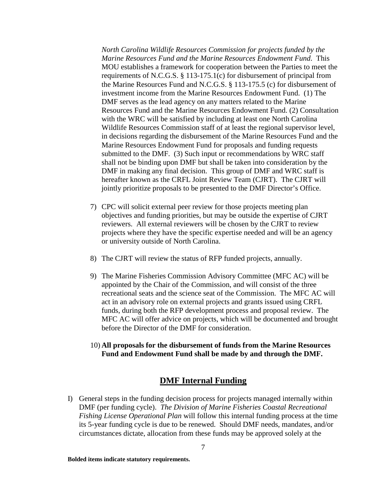*North Carolina Wildlife Resources Commission for projects funded by the Marine Resources Fund and the Marine Resources Endowment Fund*. This MOU establishes a framework for cooperation between the Parties to meet the requirements of N.C.G.S. § 113-175.1(c) for disbursement of principal from the Marine Resources Fund and N.C.G.S. § 113-175.5 (c) for disbursement of investment income from the Marine Resources Endowment Fund. (1) The DMF serves as the lead agency on any matters related to the Marine Resources Fund and the Marine Resources Endowment Fund. (2) Consultation with the WRC will be satisfied by including at least one North Carolina Wildlife Resources Commission staff of at least the regional supervisor level, in decisions regarding the disbursement of the Marine Resources Fund and the Marine Resources Endowment Fund for proposals and funding requests submitted to the DMF. (3) Such input or recommendations by WRC staff shall not be binding upon DMF but shall be taken into consideration by the DMF in making any final decision. This group of DMF and WRC staff is hereafter known as the CRFL Joint Review Team (CJRT). The CJRT will jointly prioritize proposals to be presented to the DMF Director's Office.

- 7) CPC will solicit external peer review for those projects meeting plan objectives and funding priorities, but may be outside the expertise of CJRT reviewers. All external reviewers will be chosen by the CJRT to review projects where they have the specific expertise needed and will be an agency or university outside of North Carolina.
- 8) The CJRT will review the status of RFP funded projects, annually.
- 9) The Marine Fisheries Commission Advisory Committee (MFC AC) will be appointed by the Chair of the Commission, and will consist of the three recreational seats and the science seat of the Commission. The MFC AC will act in an advisory role on external projects and grants issued using CRFL funds, during both the RFP development process and proposal review. The MFC AC will offer advice on projects, which will be documented and brought before the Director of the DMF for consideration.
- 10) **All proposals for the disbursement of funds from the Marine Resources Fund and Endowment Fund shall be made by and through the DMF.**

#### **DMF Internal Funding**

<span id="page-6-0"></span>I) General steps in the funding decision process for projects managed internally within DMF (per funding cycle). *The Division of Marine Fisheries Coastal Recreational Fishing License Operational Plan* will follow this internal funding process at the time its 5-year funding cycle is due to be renewed. Should DMF needs, mandates, and/or circumstances dictate, allocation from these funds may be approved solely at the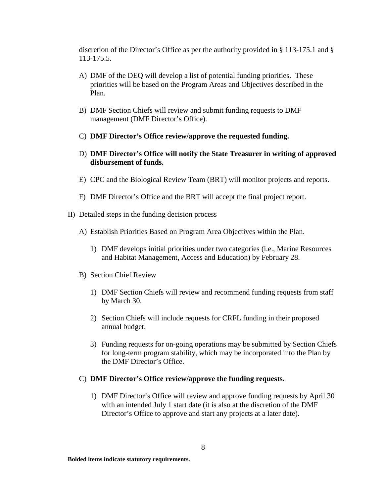discretion of the Director's Office as per the authority provided in § 113-175.1 and § 113-175.5.

- A) DMF of the DEQ will develop a list of potential funding priorities. These priorities will be based on the Program Areas and Objectives described in the Plan.
- B) DMF Section Chiefs will review and submit funding requests to DMF management (DMF Director's Office).
- C) **DMF Director's Office review/approve the requested funding.**
- D) **DMF Director's Office will notify the State Treasurer in writing of approved disbursement of funds.**
- E) CPC and the Biological Review Team (BRT) will monitor projects and reports.
- F) DMF Director's Office and the BRT will accept the final project report.
- <span id="page-7-0"></span>II) Detailed steps in the funding decision process
	- A) Establish Priorities Based on Program Area Objectives within the Plan.
		- 1) DMF develops initial priorities under two categories (i.e., Marine Resources and Habitat Management, Access and Education) by February 28.
	- B) Section Chief Review
		- 1) DMF Section Chiefs will review and recommend funding requests from staff by March 30.
		- 2) Section Chiefs will include requests for CRFL funding in their proposed annual budget.
		- 3) Funding requests for on-going operations may be submitted by Section Chiefs for long-term program stability, which may be incorporated into the Plan by the DMF Director's Office.

#### C) **DMF Director's Office review/approve the funding requests.**

1) DMF Director's Office will review and approve funding requests by April 30 with an intended July 1 start date (it is also at the discretion of the DMF Director's Office to approve and start any projects at a later date).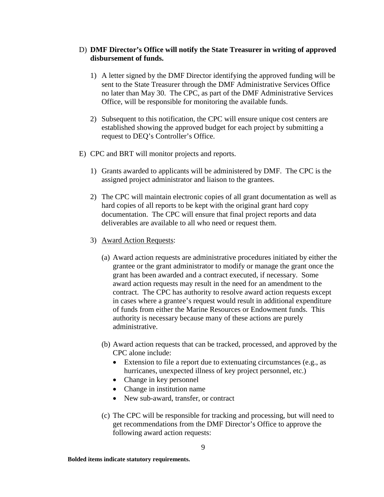#### D) **DMF Director's Office will notify the State Treasurer in writing of approved disbursement of funds.**

- 1) A letter signed by the DMF Director identifying the approved funding will be sent to the State Treasurer through the DMF Administrative Services Office no later than May 30. The CPC, as part of the DMF Administrative Services Office, will be responsible for monitoring the available funds.
- 2) Subsequent to this notification, the CPC will ensure unique cost centers are established showing the approved budget for each project by submitting a request to DEQ's Controller's Office.
- E) CPC and BRT will monitor projects and reports.
	- 1) Grants awarded to applicants will be administered by DMF. The CPC is the assigned project administrator and liaison to the grantees.
	- 2) The CPC will maintain electronic copies of all grant documentation as well as hard copies of all reports to be kept with the original grant hard copy documentation. The CPC will ensure that final project reports and data deliverables are available to all who need or request them.
	- 3) Award Action Requests:
		- (a) Award action requests are administrative procedures initiated by either the grantee or the grant administrator to modify or manage the grant once the grant has been awarded and a contract executed, if necessary. Some award action requests may result in the need for an amendment to the contract. The CPC has authority to resolve award action requests except in cases where a grantee's request would result in additional expenditure of funds from either the Marine Resources or Endowment funds. This authority is necessary because many of these actions are purely administrative.
		- (b) Award action requests that can be tracked, processed, and approved by the CPC alone include:
			- Extension to file a report due to extenuating circumstances (e.g., as hurricanes, unexpected illness of key project personnel, etc.)
			- Change in key personnel
			- Change in institution name
			- New sub-award, transfer, or contract
		- (c) The CPC will be responsible for tracking and processing, but will need to get recommendations from the DMF Director's Office to approve the following award action requests: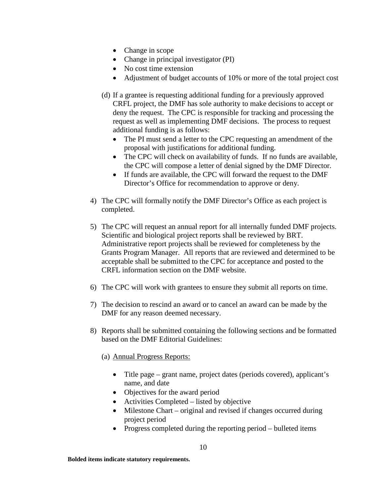- Change in scope
- Change in principal investigator (PI)
- No cost time extension
- Adjustment of budget accounts of 10% or more of the total project cost
- (d) If a grantee is requesting additional funding for a previously approved CRFL project, the DMF has sole authority to make decisions to accept or deny the request. The CPC is responsible for tracking and processing the request as well as implementing DMF decisions. The process to request additional funding is as follows:
	- The PI must send a letter to the CPC requesting an amendment of the proposal with justifications for additional funding.
	- The CPC will check on availability of funds. If no funds are available, the CPC will compose a letter of denial signed by the DMF Director.
	- If funds are available, the CPC will forward the request to the DMF Director's Office for recommendation to approve or deny.
- 4) The CPC will formally notify the DMF Director's Office as each project is completed.
- 5) The CPC will request an annual report for all internally funded DMF projects. Scientific and biological project reports shall be reviewed by BRT. Administrative report projects shall be reviewed for completeness by the Grants Program Manager. All reports that are reviewed and determined to be acceptable shall be submitted to the CPC for acceptance and posted to the CRFL information section on the DMF website.
- 6) The CPC will work with grantees to ensure they submit all reports on time.
- 7) The decision to rescind an award or to cancel an award can be made by the DMF for any reason deemed necessary.
- 8) Reports shall be submitted containing the following sections and be formatted based on the DMF Editorial Guidelines:
	- (a) Annual Progress Reports:
		- Title page grant name, project dates (periods covered), applicant's name, and date
		- Objectives for the award period
		- Activities Completed listed by objective
		- Milestone Chart original and revised if changes occurred during project period
		- Progress completed during the reporting period bulleted items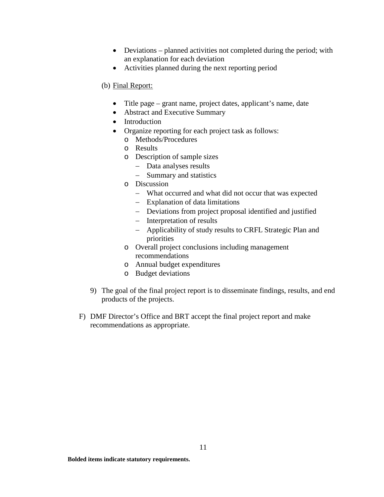- Deviations planned activities not completed during the period; with an explanation for each deviation
- Activities planned during the next reporting period

#### (b) Final Report:

- Title page grant name, project dates, applicant's name, date
- Abstract and Executive Summary
- Introduction
- Organize reporting for each project task as follows:
	- o Methods/Procedures
	- o Results
	- o Description of sample sizes
		- − Data analyses results
		- − Summary and statistics
	- o Discussion
		- − What occurred and what did not occur that was expected
		- − Explanation of data limitations
		- − Deviations from project proposal identified and justified
		- − Interpretation of results
		- − Applicability of study results to CRFL Strategic Plan and priorities
	- o Overall project conclusions including management recommendations
	- o Annual budget expenditures
	- o Budget deviations
- 9) The goal of the final project report is to disseminate findings, results, and end products of the projects.
- F) DMF Director's Office and BRT accept the final project report and make recommendations as appropriate.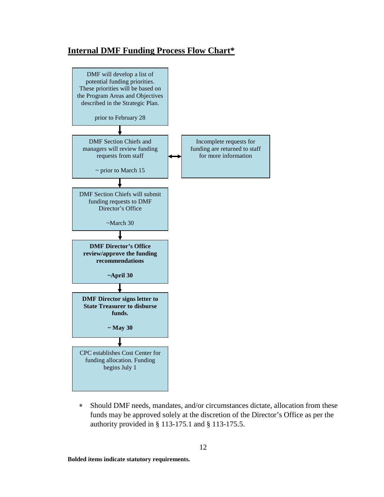# <span id="page-11-0"></span>**Internal DMF Funding Process Flow Chart\***



∗ Should DMF needs, mandates, and/or circumstances dictate, allocation from these funds may be approved solely at the discretion of the Director's Office as per the authority provided in § 113-175.1 and § 113-175.5.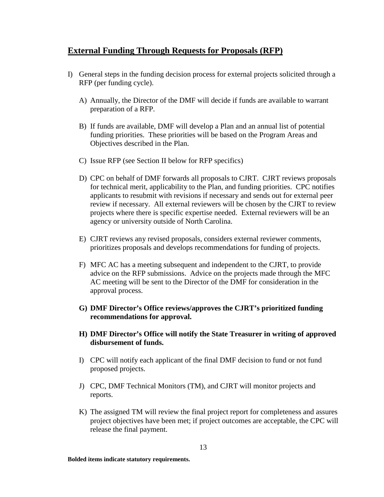# **External Funding Through Requests for Proposals (RFP)**

- <span id="page-12-0"></span>I) General steps in the funding decision process for external projects solicited through a RFP (per funding cycle).
	- A) Annually, the Director of the DMF will decide if funds are available to warrant preparation of a RFP.
	- B) If funds are available, DMF will develop a Plan and an annual list of potential funding priorities. These priorities will be based on the Program Areas and Objectives described in the Plan.
	- C) Issue RFP (see Section II below for RFP specifics)
	- D) CPC on behalf of DMF forwards all proposals to CJRT. CJRT reviews proposals for technical merit*,* applicability to the Plan, and funding priorities. CPC notifies applicants to resubmit with revisions if necessary and sends out for external peer review if necessary. All external reviewers will be chosen by the CJRT to review projects where there is specific expertise needed. External reviewers will be an agency or university outside of North Carolina.
	- E) CJRT reviews any revised proposals, considers external reviewer comments, prioritizes proposals and develops recommendations for funding of projects.
	- F) MFC AC has a meeting subsequent and independent to the CJRT, to provide advice on the RFP submissions. Advice on the projects made through the MFC AC meeting will be sent to the Director of the DMF for consideration in the approval process.
	- **G) DMF Director's Office reviews/approves the CJRT's prioritized funding recommendations for approval.**
	- **H) DMF Director's Office will notify the State Treasurer in writing of approved disbursement of funds.**
	- I) CPC will notify each applicant of the final DMF decision to fund or not fund proposed projects.
	- J) CPC, DMF Technical Monitors (TM), and CJRT will monitor projects and reports.
	- K) The assigned TM will review the final project report for completeness and assures project objectives have been met; if project outcomes are acceptable, the CPC will release the final payment.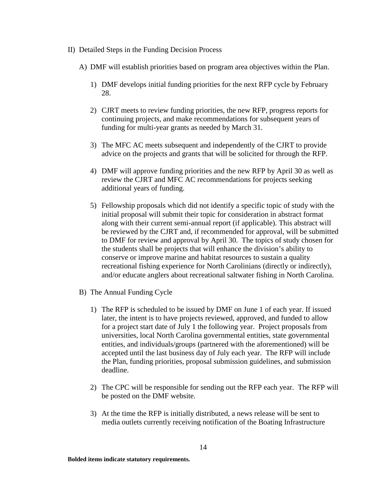- <span id="page-13-0"></span>II) Detailed Steps in the Funding Decision Process
	- A) DMF will establish priorities based on program area objectives within the Plan.
		- 1) DMF develops initial funding priorities for the next RFP cycle by February 28.
		- 2) CJRT meets to review funding priorities, the new RFP, progress reports for continuing projects, and make recommendations for subsequent years of funding for multi-year grants as needed by March 31.
		- 3) The MFC AC meets subsequent and independently of the CJRT to provide advice on the projects and grants that will be solicited for through the RFP.
		- 4) DMF will approve funding priorities and the new RFP by April 30 as well as review the CJRT and MFC AC recommendations for projects seeking additional years of funding.
		- 5) Fellowship proposals which did not identify a specific topic of study with the initial proposal will submit their topic for consideration in abstract format along with their current semi-annual report (if applicable). This abstract will be reviewed by the CJRT and, if recommended for approval, will be submitted to DMF for review and approval by April 30. The topics of study chosen for the students shall be projects that will enhance the division's ability to conserve or improve marine and habitat resources to sustain a quality recreational fishing experience for North Carolinians (directly or indirectly), and/or educate anglers about recreational saltwater fishing in North Carolina.
	- B) The Annual Funding Cycle
		- 1) The RFP is scheduled to be issued by DMF on June 1 of each year. If issued later, the intent is to have projects reviewed, approved, and funded to allow for a project start date of July 1 the following year. Project proposals from universities, local North Carolina governmental entities, state governmental entities, and individuals/groups (partnered with the aforementioned) will be accepted until the last business day of July each year. The RFP will include the Plan, funding priorities, proposal submission guidelines, and submission deadline.
		- 2) The CPC will be responsible for sending out the RFP each year. The RFP will be posted on the DMF website.
		- 3) At the time the RFP is initially distributed, a news release will be sent to media outlets currently receiving notification of the Boating Infrastructure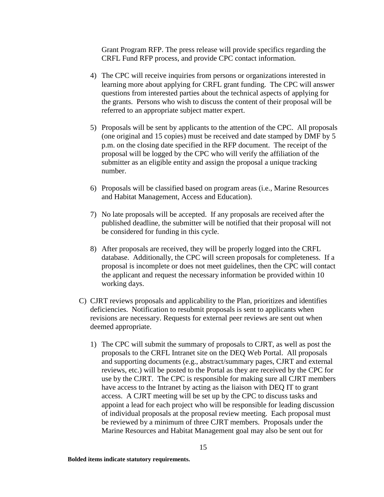Grant Program RFP. The press release will provide specifics regarding the CRFL Fund RFP process, and provide CPC contact information.

- 4) The CPC will receive inquiries from persons or organizations interested in learning more about applying for CRFL grant funding. The CPC will answer questions from interested parties about the technical aspects of applying for the grants. Persons who wish to discuss the content of their proposal will be referred to an appropriate subject matter expert.
- 5) Proposals will be sent by applicants to the attention of the CPC. All proposals (one original and 15 copies) must be received and date stamped by DMF by 5 p.m. on the closing date specified in the RFP document. The receipt of the proposal will be logged by the CPC who will verify the affiliation of the submitter as an eligible entity and assign the proposal a unique tracking number.
- 6) Proposals will be classified based on program areas (i.e., Marine Resources and Habitat Management, Access and Education).
- 7) No late proposals will be accepted. If any proposals are received after the published deadline, the submitter will be notified that their proposal will not be considered for funding in this cycle.
- 8) After proposals are received, they will be properly logged into the CRFL database. Additionally, the CPC will screen proposals for completeness. If a proposal is incomplete or does not meet guidelines, then the CPC will contact the applicant and request the necessary information be provided within 10 working days.
- C) CJRT reviews proposals and applicability to the Plan, prioritizes and identifies deficiencies. Notification to resubmit proposals is sent to applicants when revisions are necessary. Requests for external peer reviews are sent out when deemed appropriate.
	- 1) The CPC will submit the summary of proposals to CJRT, as well as post the proposals to the CRFL Intranet site on the DEQ Web Portal. All proposals and supporting documents (e.g., abstract/summary pages, CJRT and external reviews, etc.) will be posted to the Portal as they are received by the CPC for use by the CJRT. The CPC is responsible for making sure all CJRT members have access to the Intranet by acting as the liaison with DEQ IT to grant access. A CJRT meeting will be set up by the CPC to discuss tasks and appoint a lead for each project who will be responsible for leading discussion of individual proposals at the proposal review meeting. Each proposal must be reviewed by a minimum of three CJRT members. Proposals under the Marine Resources and Habitat Management goal may also be sent out for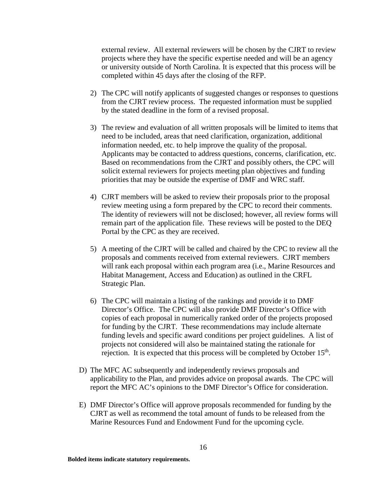external review. All external reviewers will be chosen by the CJRT to review projects where they have the specific expertise needed and will be an agency or university outside of North Carolina. It is expected that this process will be completed within 45 days after the closing of the RFP.

- 2) The CPC will notify applicants of suggested changes or responses to questions from the CJRT review process. The requested information must be supplied by the stated deadline in the form of a revised proposal.
- 3) The review and evaluation of all written proposals will be limited to items that need to be included, areas that need clarification, organization, additional information needed, etc. to help improve the quality of the proposal. Applicants may be contacted to address questions, concerns, clarification, etc. Based on recommendations from the CJRT and possibly others, the CPC will solicit external reviewers for projects meeting plan objectives and funding priorities that may be outside the expertise of DMF and WRC staff.
- 4) CJRT members will be asked to review their proposals prior to the proposal review meeting using a form prepared by the CPC to record their comments. The identity of reviewers will not be disclosed; however, all review forms will remain part of the application file. These reviews will be posted to the DEQ Portal by the CPC as they are received.
- 5) A meeting of the CJRT will be called and chaired by the CPC to review all the proposals and comments received from external reviewers. CJRT members will rank each proposal within each program area (i.e., Marine Resources and Habitat Management, Access and Education) as outlined in the CRFL Strategic Plan.
- 6) The CPC will maintain a listing of the rankings and provide it to DMF Director's Office. The CPC will also provide DMF Director's Office with copies of each proposal in numerically ranked order of the projects proposed for funding by the CJRT. These recommendations may include alternate funding levels and specific award conditions per project guidelines. A list of projects not considered will also be maintained stating the rationale for rejection. It is expected that this process will be completed by October  $15<sup>th</sup>$ .
- D) The MFC AC subsequently and independently reviews proposals and applicability to the Plan, and provides advice on proposal awards. The CPC will report the MFC AC's opinions to the DMF Director's Office for consideration.
- E) DMF Director's Office will approve proposals recommended for funding by the CJRT as well as recommend the total amount of funds to be released from the Marine Resources Fund and Endowment Fund for the upcoming cycle.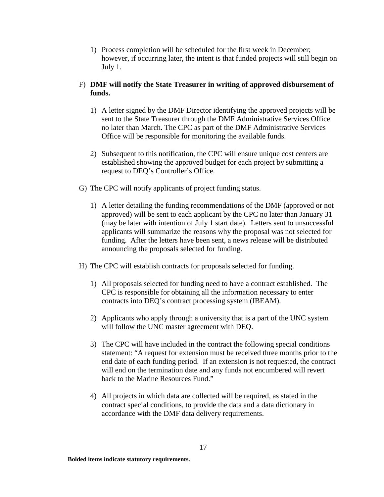1) Process completion will be scheduled for the first week in December; however, if occurring later, the intent is that funded projects will still begin on July 1.

#### F) **DMF will notify the State Treasurer in writing of approved disbursement of funds.**

- 1) A letter signed by the DMF Director identifying the approved projects will be sent to the State Treasurer through the DMF Administrative Services Office no later than March. The CPC as part of the DMF Administrative Services Office will be responsible for monitoring the available funds.
- 2) Subsequent to this notification, the CPC will ensure unique cost centers are established showing the approved budget for each project by submitting a request to DEQ's Controller's Office.
- G) The CPC will notify applicants of project funding status.
	- 1) A letter detailing the funding recommendations of the DMF (approved or not approved) will be sent to each applicant by the CPC no later than January 31 (may be later with intention of July 1 start date). Letters sent to unsuccessful applicants will summarize the reasons why the proposal was not selected for funding. After the letters have been sent, a news release will be distributed announcing the proposals selected for funding.
- H) The CPC will establish contracts for proposals selected for funding.
	- 1) All proposals selected for funding need to have a contract established. The CPC is responsible for obtaining all the information necessary to enter contracts into DEQ's contract processing system (IBEAM).
	- 2) Applicants who apply through a university that is a part of the UNC system will follow the UNC master agreement with DEQ.
	- 3) The CPC will have included in the contract the following special conditions statement: "A request for extension must be received three months prior to the end date of each funding period. If an extension is not requested, the contract will end on the termination date and any funds not encumbered will revert back to the Marine Resources Fund."
	- 4) All projects in which data are collected will be required, as stated in the contract special conditions, to provide the data and a data dictionary in accordance with the DMF data delivery requirements.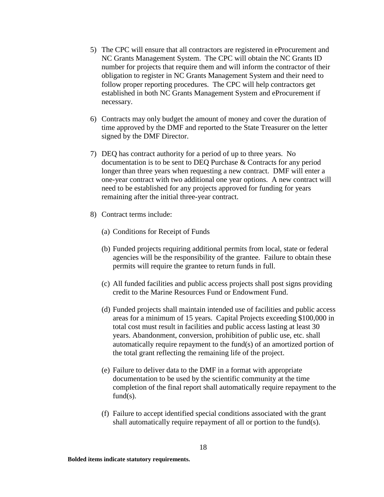- 5) The CPC will ensure that all contractors are registered in eProcurement and NC Grants Management System. The CPC will obtain the NC Grants ID number for projects that require them and will inform the contractor of their obligation to register in NC Grants Management System and their need to follow proper reporting procedures. The CPC will help contractors get established in both NC Grants Management System and eProcurement if necessary.
- 6) Contracts may only budget the amount of money and cover the duration of time approved by the DMF and reported to the State Treasurer on the letter signed by the DMF Director.
- 7) DEQ has contract authority for a period of up to three years. No documentation is to be sent to DEQ Purchase & Contracts for any period longer than three years when requesting a new contract. DMF will enter a one-year contract with two additional one year options. A new contract will need to be established for any projects approved for funding for years remaining after the initial three-year contract.
- 8) Contract terms include:
	- (a) Conditions for Receipt of Funds
	- (b) Funded projects requiring additional permits from local, state or federal agencies will be the responsibility of the grantee. Failure to obtain these permits will require the grantee to return funds in full.
	- (c) All funded facilities and public access projects shall post signs providing credit to the Marine Resources Fund or Endowment Fund.
	- (d) Funded projects shall maintain intended use of facilities and public access areas for a minimum of 15 years. Capital Projects exceeding \$100,000 in total cost must result in facilities and public access lasting at least 30 years. Abandonment, conversion, prohibition of public use, etc. shall automatically require repayment to the fund(s) of an amortized portion of the total grant reflecting the remaining life of the project.
	- (e) Failure to deliver data to the DMF in a format with appropriate documentation to be used by the scientific community at the time completion of the final report shall automatically require repayment to the  $fund(s)$ .
	- (f) Failure to accept identified special conditions associated with the grant shall automatically require repayment of all or portion to the fund(s).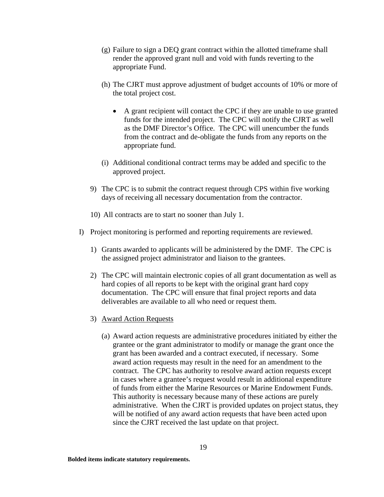- (g) Failure to sign a DEQ grant contract within the allotted timeframe shall render the approved grant null and void with funds reverting to the appropriate Fund.
- (h) The CJRT must approve adjustment of budget accounts of 10% or more of the total project cost.
	- A grant recipient will contact the CPC if they are unable to use granted funds for the intended project. The CPC will notify the CJRT as well as the DMF Director's Office. The CPC will unencumber the funds from the contract and de-obligate the funds from any reports on the appropriate fund.
- (i) Additional conditional contract terms may be added and specific to the approved project.
- 9) The CPC is to submit the contract request through CPS within five working days of receiving all necessary documentation from the contractor.
- 10) All contracts are to start no sooner than July 1.
- I) Project monitoring is performed and reporting requirements are reviewed.
	- 1) Grants awarded to applicants will be administered by the DMF. The CPC is the assigned project administrator and liaison to the grantees.
	- 2) The CPC will maintain electronic copies of all grant documentation as well as hard copies of all reports to be kept with the original grant hard copy documentation. The CPC will ensure that final project reports and data deliverables are available to all who need or request them.
	- 3) Award Action Requests
		- (a) Award action requests are administrative procedures initiated by either the grantee or the grant administrator to modify or manage the grant once the grant has been awarded and a contract executed, if necessary. Some award action requests may result in the need for an amendment to the contract. The CPC has authority to resolve award action requests except in cases where a grantee's request would result in additional expenditure of funds from either the Marine Resources or Marine Endowment Funds. This authority is necessary because many of these actions are purely administrative. When the CJRT is provided updates on project status, they will be notified of any award action requests that have been acted upon since the CJRT received the last update on that project.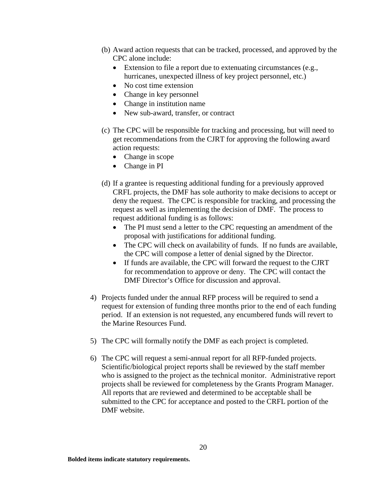- (b) Award action requests that can be tracked, processed, and approved by the CPC alone include:
	- Extension to file a report due to extenuating circumstances (e.g., hurricanes, unexpected illness of key project personnel, etc.)
	- No cost time extension
	- Change in key personnel
	- Change in institution name
	- New sub-award, transfer, or contract
- (c) The CPC will be responsible for tracking and processing, but will need to get recommendations from the CJRT for approving the following award action requests:
	- Change in scope
	- Change in PI
- (d) If a grantee is requesting additional funding for a previously approved CRFL projects, the DMF has sole authority to make decisions to accept or deny the request. The CPC is responsible for tracking, and processing the request as well as implementing the decision of DMF. The process to request additional funding is as follows:
	- The PI must send a letter to the CPC requesting an amendment of the proposal with justifications for additional funding.
	- The CPC will check on availability of funds. If no funds are available, the CPC will compose a letter of denial signed by the Director.
	- If funds are available, the CPC will forward the request to the CJRT for recommendation to approve or deny. The CPC will contact the DMF Director's Office for discussion and approval.
- 4) Projects funded under the annual RFP process will be required to send a request for extension of funding three months prior to the end of each funding period. If an extension is not requested, any encumbered funds will revert to the Marine Resources Fund.
- 5) The CPC will formally notify the DMF as each project is completed.
- 6) The CPC will request a semi-annual report for all RFP-funded projects. Scientific/biological project reports shall be reviewed by the staff member who is assigned to the project as the technical monitor. Administrative report projects shall be reviewed for completeness by the Grants Program Manager. All reports that are reviewed and determined to be acceptable shall be submitted to the CPC for acceptance and posted to the CRFL portion of the DMF website.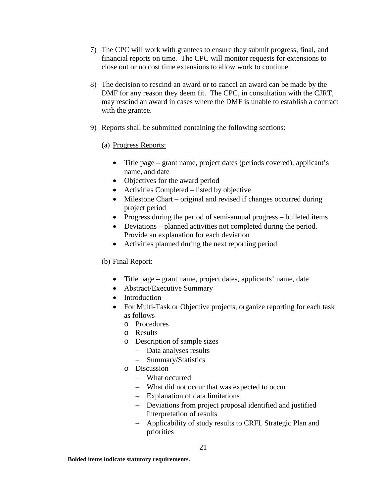- 7) The CPC will work with grantees to ensure they submit progress, final, and financial reports on time. The CPC will monitor requests for extensions to close out or no cost time extensions to allow work to continue.
- 8) The decision to rescind an award or to cancel an award can be made by the DMF for any reason they deem fit. The CPC, in consultation with the CJRT, may rescind an award in cases where the DMF is unable to establish a contract with the grantee.
- 9) Reports shall be submitted containing the following sections:

# (a) Progress Reports:

- Title page grant name, project dates (periods covered), applicant's name, and date
- Objectives for the award period
- Activities Completed listed by objective
- Milestone Chart original and revised if changes occurred during project period
- Progress during the period of semi-annual progress bulleted items
- Deviations planned activities not completed during the period. Provide an explanation for each deviation
- Activities planned during the next reporting period

# (b) Final Report:

- Title page grant name, project dates, applicants' name, date
- Abstract/Executive Summary
- Introduction
- For Multi-Task or Objective projects, organize reporting for each task as follows
	- o Procedures
	- o Results
	- o Description of sample sizes
		- − Data analyses results
		- − Summary/Statistics
	- o Discussion
		- − What occurred
		- − What did not occur that was expected to occur
		- − Explanation of data limitations
		- − Deviations from project proposal identified and justified Interpretation of results
		- − Applicability of study results to CRFL Strategic Plan and priorities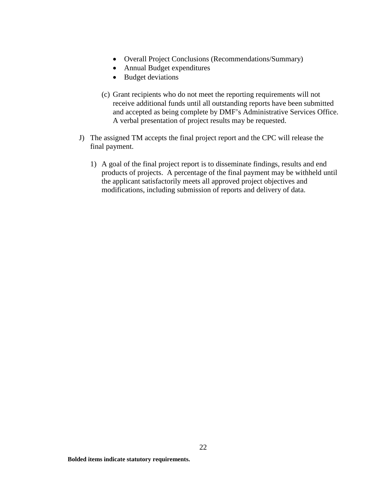- Overall Project Conclusions (Recommendations/Summary)
- Annual Budget expenditures
- Budget deviations
- (c) Grant recipients who do not meet the reporting requirements will not receive additional funds until all outstanding reports have been submitted and accepted as being complete by DMF's Administrative Services Office. A verbal presentation of project results may be requested.
- J) The assigned TM accepts the final project report and the CPC will release the final payment.
	- 1) A goal of the final project report is to disseminate findings, results and end products of projects. A percentage of the final payment may be withheld until the applicant satisfactorily meets all approved project objectives and modifications, including submission of reports and delivery of data.